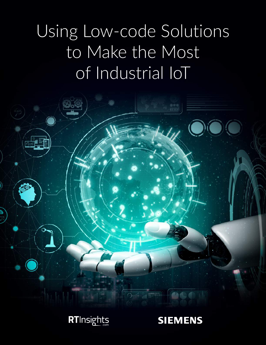# Using Low-code Solutions to Make the Most of Industrial IoT





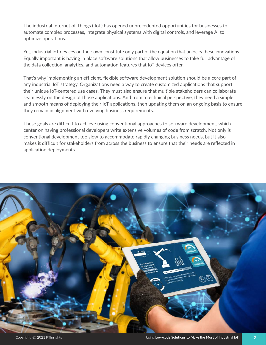The industrial Internet of Things (IIoT) has opened unprecedented opportunities for businesses to automate complex processes, integrate physical systems with digital controls, and leverage AI to optimize operations.

Yet, industrial IoT devices on their own constitute only part of the equation that unlocks these innovations. Equally important is having in place software solutions that allow businesses to take full advantage of the data collection, analytics, and automation features that IoT devices offer.

That's why implementing an efficient, flexible software development solution should be a core part of any industrial IoT strategy. Organizations need a way to create customized applications that support their unique IoT-centered use cases. They must also ensure that multiple stakeholders can collaborate seamlessly on the design of those applications. And from a technical perspective, they need a simple and smooth means of deploying their IoT applications, then updating them on an ongoing basis to ensure they remain in alignment with evolving business requirements.

These goals are difficult to achieve using conventional approaches to software development, which center on having professional developers write extensive volumes of code from scratch. Not only is conventional development too slow to accommodate rapidly changing business needs, but it also makes it difficult for stakeholders from across the business to ensure that their needs are reflected in application deployments.

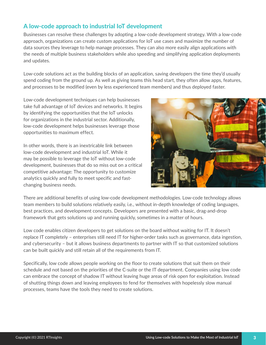# A low-code approach to industrial IoT development

Businesses can resolve these challenges by adopting a low-code development strategy. With a low-code approach, organizations can create custom applications for IoT use cases and maximize the number of data sources they leverage to help manage processes. They can also more easily align applications with the needs of multiple business stakeholders while also speeding and simplifying application deployments and updates.

Low-code solutions act as the building blocks of an application, saving developers the time they'd usually spend coding from the ground up. As well as giving teams this head start, they often allow apps, features, and processes to be modified (even by less experienced team members) and thus deployed faster.

Low-code development techniques can help businesses take full advantage of IoT devices and networks. It begins by identifying the opportunities that the IoT unlocks for organizations in the industrial sector. Additionally, low-code development helps businesses leverage those opportunities to maximum effect.

In other words, there is an inextricable link between low-code development and industrial IoT. While it may be possible to leverage the IoT without low-code development, businesses that do so miss out on a critical competitive advantage: The opportunity to customize analytics quickly and fully to meet specific and fastchanging business needs.



There are additional benefits of using low-code development methodologies. Low-code technology allows team members to build solutions relatively easily, i.e., without in-depth knowledge of coding languages, best practices, and development concepts. Developers are presented with a basic, drag-and-drop framework that gets solutions up and running quickly, sometimes in a matter of hours.

Low code enables citizen developers to get solutions on the board without waiting for IT. It doesn't replace IT completely – enterprises still need IT for higher-order tasks such as governance, data ingestion, and cybersecurity – but it allows business departments to partner with IT so that customized solutions can be built quickly and still retain all of the requirements from IT.

Specifically, low code allows people working on the floor to create solutions that suit them on their schedule and not based on the priorities of the C-suite or the IT department. Companies using low code can embrace the concept of shadow IT without leaving huge areas of risk open for exploitation. Instead of shutting things down and leaving employees to fend for themselves with hopelessly slow manual processes, teams have the tools they need to create solutions.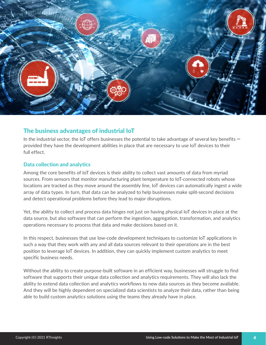

## The business advantages of industrial IoT

In the industrial sector, the IoT offers businesses the potential to take advantage of several key benefits  $$ provided they have the development abilities in place that are necessary to use IoT devices to their full effect.

#### Data collection and analytics

Among the core benefits of IoT devices is their ability to collect vast amounts of data from myriad sources. From sensors that monitor manufacturing plant temperature to IoT-connected robots whose locations are tracked as they move around the assembly line, IoT devices can automatically ingest a wide array of data types. In turn, that data can be analyzed to help businesses make split-second decisions and detect operational problems before they lead to major disruptions.

Yet, the ability to collect and process data hinges not just on having physical IoT devices in place at the data source, but also software that can perform the ingestion, aggregation, transformation, and analytics operations necessary to process that data and make decisions based on it.

In this respect, businesses that use low-code development techniques to customize IoT applications in such a way that they work with any and all data sources relevant to their operations are in the best position to leverage IoT devices. In addition, they can quickly implement custom analytics to meet specific business needs.

Without the ability to create purpose-built software in an efficient way, businesses will struggle to find software that supports their unique data collection and analytics requirements. They will also lack the ability to extend data collection and analytics workflows to new data sources as they become available. And they will be highly dependent on specialized data scientists to analyze their data, rather than being able to build custom analytics solutions using the teams they already have in place.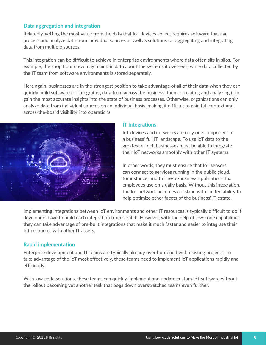#### Data aggregation and integration

Relatedly, getting the most value from the data that IoT devices collect requires software that can process and analyze data from individual sources as well as solutions for aggregating and integrating data from multiple sources.

This integration can be difficult to achieve in enterprise environments where data often sits in silos. For example, the shop floor crew may maintain data about the systems it oversees, while data collected by the IT team from software environments is stored separately.

Here again, businesses are in the strongest position to take advantage of all of their data when they can quickly build software for integrating data from across the business, then correlating and analyzing it to gain the most accurate insights into the state of business processes. Otherwise, organizations can only analyze data from individual sources on an individual basis, making it difficult to gain full context and across-the-board visibility into operations.



#### IT integrations

IoT devices and networks are only one component of a business' full IT landscape. To use IoT data to the greatest effect, businesses must be able to integrate their IoT networks smoothly with other IT systems.

In other words, they must ensure that IoT sensors can connect to services running in the public cloud, for instance, and to line-of-business applications that employees use on a daily basis. Without this integration, the IoT network becomes an island with limited ability to help optimize other facets of the business' IT estate.

Implementing integrations between IoT environments and other IT resources is typically difficult to do if developers have to build each integration from scratch. However, with the help of low-code capabilities, they can take advantage of pre-built integrations that make it much faster and easier to integrate their IoT resources with other IT assets.

#### Rapid implementation

Enterprise development and IT teams are typically already over-burdened with existing projects. To take advantage of the IoT most effectively, these teams need to implement IoT applications rapidly and efficiently.

With low-code solutions, these teams can quickly implement and update custom IoT software without the rollout becoming yet another task that bogs down overstretched teams even further.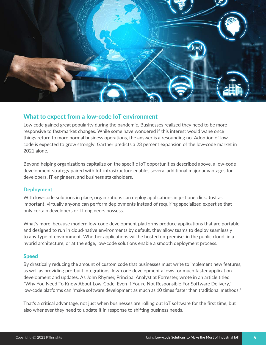

## What to expect from a low-code IoT environment

Low code gained great popularity during the pandemic. Businesses realized they need to be more responsive to fast-market changes. While some have wondered if this interest would wane once things return to more normal business operations, the answer is a resounding no. Adoption of low code is expected to grow strongly: Gartner predicts a 23 percent expansion of the low-code market in 2021 alone.

Beyond helping organizations capitalize on the specific IoT opportunities described above, a low-code development strategy paired with IoT infrastructure enables several additional major advantages for developers, IT engineers, and business stakeholders.

#### **Deployment**

With low-code solutions in place, organizations can deploy applications in just one click. Just as important, virtually anyone can perform deployments instead of requiring specialized expertise that only certain developers or IT engineers possess.

What's more, because modern low-code development platforms produce applications that are portable and designed to run in cloud-native environments by default, they allow teams to deploy seamlessly to any type of environment. Whether applications will be hosted on-premise, in the public cloud, in a hybrid architecture, or at the edge, low-code solutions enable a smooth deployment process.

#### Speed

By drastically reducing the amount of custom code that businesses must write to implement new features, as well as providing pre-built integrations, low-code development allows for much faster application development and updates. As John Rhymer, Principal Analyst at Forrester, wrote in an article titled "Why You Need To Know About Low-Code, Even If You're Not Responsible For Software Delivery," low-code platforms can "make software development as much as 10 times faster than traditional methods."

That's a critical advantage, not just when businesses are rolling out IoT software for the first time, but also whenever they need to update it in response to shifting business needs.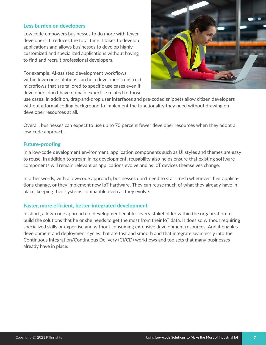#### Less burden on developers

Low code empowers businesses to do more with fewer developers. It reduces the total time it takes to develop applications and allows businesses to develop highly customized and specialized applications without having to find and recruit professional developers.

For example, AI-assisted development workflows within low-code solutions can help developers construct microflows that are tailored to specific use cases even if developers don't have domain expertise related to those



use cases. In addition, drag-and-drop user interfaces and pre-coded snippets allow citizen developers without a formal coding background to implement the functionality they need without drawing on developer resources at all.

Overall, businesses can expect to use up to 70 percent fewer developer resources when they adopt a low-code approach.

#### Future-proofing

In a low-code development environment, application components such as UI styles and themes are easy to reuse. In addition to streamlining development, reusability also helps ensure that existing software components will remain relevant as applications evolve and as IoT devices themselves change.

In other words, with a low-code approach, businesses don't need to start fresh whenever their applications change, or they implement new IoT hardware. They can reuse much of what they already have in place, keeping their systems compatible even as they evolve.

#### Faster, more efficient, better-integrated development

In short, a low-code approach to development enables every stakeholder within the organization to build the solutions that he or she needs to get the most from their IoT data. It does so without requiring specialized skills or expertise and without consuming extensive development resources. And it enables development and deployment cycles that are fast and smooth and that integrate seamlessly into the Continuous Integration/Continuous Delivery (CI/CD) workflows and toolsets that many businesses already have in place.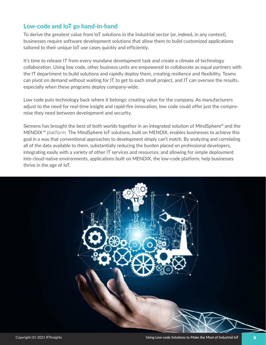# Low-code and IoT go hand-in-hand

To derive the greatest value from IoT solutions in the industrial sector (or, indeed, in any context), businesses require software development solutions that allow them to build customized applications tailored to their unique IoT use cases quickly and efficiently.

It's time to release IT from every mundane development task and create a climate of technology collaboration. Using low code, other business units are empowered to collaborate as equal partners with the IT department to build solutions and rapidly deploy them, creating resilience and flexibility. Teams can pivot on demand without waiting for IT to get to each small project, and IT can oversee the results, especially when these programs deploy company-wide.

Low code puts technology back where it belongs: creating value for the company. As manufacturers adjust to the need for real-time insight and rapid-fire innovation, low code could offer just the compromise they need between development and security.

Siemens has brought the best of both worlds together in an integrated solution of MindSphere® and the MENDIX™ platform. The MindSphere IoT solutions, built on MENDIX, enables businesses to achieve this goal in a way that conventional approaches to development simply can't match. By analyzing and correlating all of the data available to them, substantially reducing the burden placed on professional developers, integrating easily with a variety of other IT services and resources, and allowing for simple deployment into cloud-native environments, applications built on MENDIX, the low-code platform, help businesses thrive in the age of IoT.